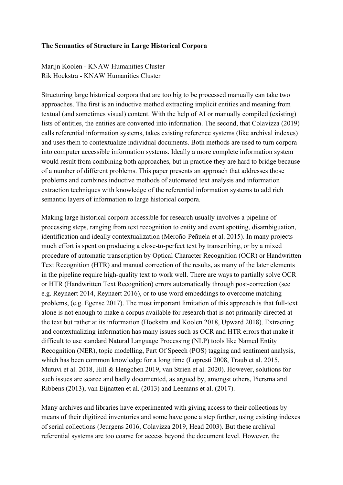## **The Semantics of Structure in Large Historical Corpora**

Marijn Koolen - KNAW Humanities Cluster Rik Hoekstra - KNAW Humanities Cluster

Structuring large historical corpora that are too big to be processed manually can take two approaches. The first is an inductive method extracting implicit entities and meaning from textual (and sometimes visual) content. With the help of AI or manually compiled (existing) lists of entities, the entities are converted into information. The second, that Colavizza (2019) calls referential information systems, takes existing reference systems (like archival indexes) and uses them to contextualize individual documents. Both methods are used to turn corpora into computer accessible information systems. Ideally a more complete information system would result from combining both approaches, but in practice they are hard to bridge because of a number of different problems. This paper presents an approach that addresses those problems and combines inductive methods of automated text analysis and information extraction techniques with knowledge of the referential information systems to add rich semantic layers of information to large historical corpora.

Making large historical corpora accessible for research usually involves a pipeline of processing steps, ranging from text recognition to entity and event spotting, disambiguation, identification and ideally contextualization (Meroño-Peñuela et al. 2015). In many projects much effort is spent on producing a close-to-perfect text by transcribing, or by a mixed procedure of automatic transcription by Optical Character Recognition (OCR) or Handwritten Text Recognition (HTR) and manual correction of the results, as many of the later elements in the pipeline require high-quality text to work well. There are ways to partially solve OCR or HTR (Handwritten Text Recognition) errors automatically through post-correction (see e.g. Reynaert 2014, Reynaert 2016), or to use word embeddings to overcome matching problems, (e.g. Egense 2017). The most important limitation of this approach is that full-text alone is not enough to make a corpus available for research that is not primarily directed at the text but rather at its information (Hoekstra and Koolen 2018, Upward 2018). Extracting and contextualizing information has many issues such as OCR and HTR errors that make it difficult to use standard Natural Language Processing (NLP) tools like Named Entity Recognition (NER), topic modelling, Part Of Speech (POS) tagging and sentiment analysis, which has been common knowledge for a long time (Lopresti 2008, Traub et al. 2015, Mutuvi et al. 2018, Hill & Hengchen 2019, van Strien et al. 2020). However, solutions for such issues are scarce and badly documented, as argued by, amongst others, Piersma and Ribbens (2013), van Eijnatten et al. (2013) and Leemans et al. (2017).

Many archives and libraries have experimented with giving access to their collections by means of their digitized inventories and some have gone a step further, using existing indexes of serial collections (Jeurgens 2016, Colavizza 2019, Head 2003). But these archival referential systems are too coarse for access beyond the document level. However, the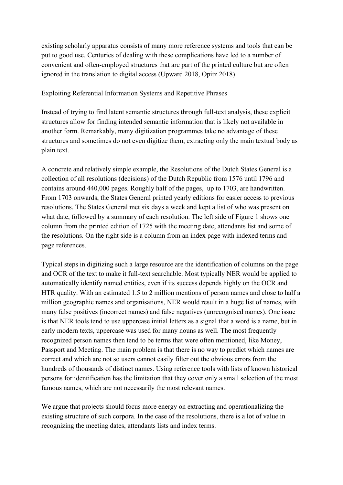existing scholarly apparatus consists of many more reference systems and tools that can be put to good use. Centuries of dealing with these complications have led to a number of convenient and often-employed structures that are part of the printed culture but are often ignored in the translation to digital access (Upward 2018, Opitz 2018).

## Exploiting Referential Information Systems and Repetitive Phrases

Instead of trying to find latent semantic structures through full-text analysis, these explicit structures allow for finding intended semantic information that is likely not available in another form. Remarkably, many digitization programmes take no advantage of these structures and sometimes do not even digitize them, extracting only the main textual body as plain text.

A concrete and relatively simple example, the Resolutions of the Dutch States General is a collection of all resolutions (decisions) of the Dutch Republic from 1576 until 1796 and contains around 440,000 pages. Roughly half of the pages, up to 1703, are handwritten. From 1703 onwards, the States General printed yearly editions for easier access to previous resolutions. The States General met six days a week and kept a list of who was present on what date, followed by a summary of each resolution. The left side of Figure 1 shows one column from the printed edition of 1725 with the meeting date, attendants list and some of the resolutions. On the right side is a column from an index page with indexed terms and page references.

Typical steps in digitizing such a large resource are the identification of columns on the page and OCR of the text to make it full-text searchable. Most typically NER would be applied to automatically identify named entities, even if its success depends highly on the OCR and HTR quality. With an estimated 1.5 to 2 million mentions of person names and close to half a million geographic names and organisations, NER would result in a huge list of names, with many false positives (incorrect names) and false negatives (unrecognised names). One issue is that NER tools tend to use uppercase initial letters as a signal that a word is a name, but in early modern texts, uppercase was used for many nouns as well. The most frequently recognized person names then tend to be terms that were often mentioned, like Money, Passport and Meeting. The main problem is that there is no way to predict which names are correct and which are not so users cannot easily filter out the obvious errors from the hundreds of thousands of distinct names. Using reference tools with lists of known historical persons for identification has the limitation that they cover only a small selection of the most famous names, which are not necessarily the most relevant names.

We argue that projects should focus more energy on extracting and operationalizing the existing structure of such corpora. In the case of the resolutions, there is a lot of value in recognizing the meeting dates, attendants lists and index terms.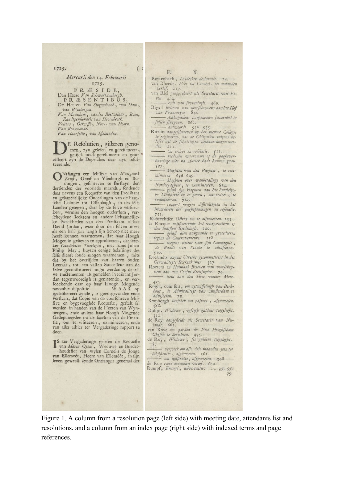$1725.$ 

### Mercurii den 14. Februarii 1725.

PRÆSIDE,

Den Heere Van Schwartzenbergh.<br>PRÆSENTIBŮS,

De Hecren Van Singendonck, van Dam, van Wynbergen.

V.1n Maasdam, vanden Boetzelaar, Boon, Raadtpenfionaris van Hoornbeeck. Veliers, Ockerffe, Noey, van Hoorn. Van Renswoude. Van Haarfolte, van Isjelmuden.

E Refolutien, gifteren genomen, zyn gelefen en gerefumeert, gelijck oock gerefumeert en gearteerende.

Nifangen een Miffive van Wolfganck<br>D'Ernft, Graaf tot Yfenborgh en Budingen, gefchreven te Birfteyn den<br>dertienden der voortede maandt, fendende<br>daar nevens een Requefte van den Predikant en gefamentlijcke Ouderlingen van de Franen gelamentlijcke Ouderlingen van de Fran-<br>fche Colonie tot Offenbagh, in des felfs<br>Landen gelegen, daar by de felve vérfoec-<br>ken, vermijs den hoogen ouderdom, verfcheydene fiecktens en andere lichaamelijcke fwackheden van den Predikant aldaar David Jordan, waar door den felven meer<br>als een half jaar langh fijn beroep niet meer heeft kunnen waarnemen, dat haar Hoogh Mogende gelieven te approbeeren, dat feec-Candidatus Theologia, met name Johan Philip May, buyten eenige belaftinge des felfs dienft foude mogen waarnemen, mits dat by het overlijden van haaren ouden Leeraar, tot een vasten Successeur aan de felve geconflitucert moge werden op de felve tractementen als gemelden Predikant Jordan tegenwoordigh is genietende, en ver-<br>foeckende daar op haar Hoogh Mogende<br>favorable difpofitie. WAAR op gedelibereert zynde, is goedtgevonden ende verstaan, dat Copie van de voorfchreve Mif-<br>five en bygevoeghde Requeste, geftelt fal werden in handen van de Heeren van Wyn-<br>bergen, ende andere haar Hoogh Mogende Gedeputeerden tot de faacken van de Finantie, om te visiteeren, examineeren, ende van alles alhier ter Vergaderinge rapport te doen.

IS ter Vergaderinge gelefen de Requeste<br>van Maria Oyens, Weduwe en Boedel-houdtfter van wylen Cornelis de Jonge van Ellemeét, Heere van Elleméét, in fijn<br>leven geweeft zynde Ontfanger generaal der

#### E

 $(1)$ 

Reytenbach, Leydecker declaratie. 24.<br>van Rheede, Heer tot Ginckel, fes maanden verlof. 217.

X.

- van Riel geapprobeert als Secretaris van Etten. 434.
- esdt van fuyveringh. 469.
- Rigail Brieven van voorfcbryvens aan het Hof<br>van Vranckryck. 844 - Ambassadeur aangenomen favorabel te
- fullen fcbryven. 862.
- Ritzius aangefchreeven by het nieuwe Collegie te vigileeren, dat de Obligatien volgens belofte uyt de Schattingen voldaan mogen werden. 211.
- om ordres en resolutie. 511.<br>---- reedenen waaromme op de paghtverhuyringe niet na Aurick hadt kunnen gaan.
- $597.$ - klaghten van den Paghter, te examineeren.
- 636.649. klaghten over wanbetalinge van den Norderpaghter, te examineeren.  $674.$
- gelaft fijn klaghten aan het Furftelyc-<br>ke Minifierie op te geven, om crdres, te
- examinéeren. 723.<br>----- rapport wegens difficultéyten in bet<br>invorderen der pagbtpenningen en refolutie.
- 751.<br>Robrechtsen Octroy om te difponeeren. 253. la Rocque notificeerende het vocrgevallene op den laatsten Beededagh. 240.
- aen taatgen Beettetagn. 240.<br>Tegens de Contraventeurs. 258.
- vegens patent voor fijn Compagnie, 510.
- Roelandts wegens Utrecht gecommitteert in des Generaliteyis Reekenkamer. 327.<br>Roeters en Halmaal Brieven van voorschry-
- vens aan den Conful Beeltfnyder. 74. - item aan den Heer vander Meer.
- 475.<br>Rogh, cum fuis, om uytwiffelingh van Berk-
- bout, de Admiraliteyt van Amflerdam te
- Romborgh verfoeck om pafport, afgeweefen. 288.
- Rofijn, Weduwe, vyftigh guldens toegeleght  $222.$ de Roy aangesteldt als Secretaris van Nu-
- landt. 661.
- van Roye om pardon de Vice Hoogbfchout<br>Ghyfen te berichten. 455. de Roy, Weduwe, fes guldens toegeleght.
- $8.$ - versoeck om alle drie maanden yets tot
- Subsistentie, afgeweesen. 361.
- om affiftentie, afgeweefen. 348. de Rue twee maanden verlof. 652.
- Rumpf, Envoyé, advertentie. 25.37.57.

Figure 1. A column from a resolution page (left side) with meeting date, attendants list and resolutions, and a column from an index page (right side) with indexed terms and page references.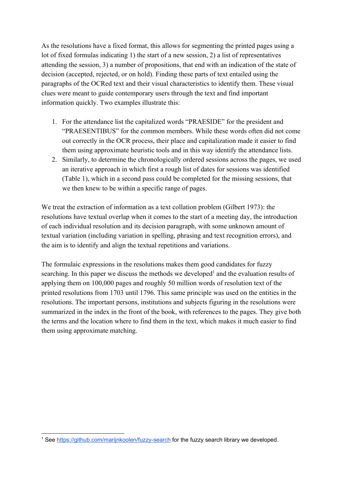As the resolutions have a fixed format, this allows for segmenting the printed pages using a lot of fixed formulas indicating 1) the start of a new session, 2) a list of representatives attending the session, 3) a number of propositions, that end with an indication of the state of decision (accepted, rejected, or on hold). Finding these parts of text entailed using the paragraphs of the OCRed text and their visual characteristics to identify them. These visual clues were meant to guide contemporary users through the text and find important information quickly. Two examples illustrate this:

- 1. For the attendance list the capitalized words "PRAESIDE" for the president and "PRAESENTIBUS" for the common members. While these words often did not come out correctly in the OCR process, their place and capitalization made it easier to find them using approximate heuristic tools and in this way identify the attendance lists.
- 2. Similarly, to determine the chronologically ordered sessions across the pages, we used an iterative approach in which first a rough list of dates for sessions was identified (Table 1), which in a second pass could be completed for the missing sessions, that we then knew to be within a specific range of pages.

We treat the extraction of information as a text collation problem (Gilbert 1973): the resolutions have textual overlap when it comes to the start of a meeting day, the introduction of each individual resolution and its decision paragraph, with some unknown amount of textual variation (including variation in spelling, phrasing and text recognition errors), and the aim is to identify and align the textual repetitions and variations.

The formulaic expressions in the resolutions makes them good candidates for fuzzy searching. In this paper we discuss the methods we developed<sup>1</sup> and the evaluation results of applying them on 100,000 pages and roughly 50 million words of resolution text of the printed resolutions from 1703 until 1796. This same principle was used on the entities in the resolutions. The important persons, institutions and subjects figuring in the resolutions were summarized in the index in the front of the book, with references to the pages. They give both the terms and the location where to find them in the text, which makes it much easier to find them using approximate matching.

<sup>&</sup>lt;sup>1</sup> See <https://github.com/marijnkoolen/fuzzy-search> for the fuzzy search library we developed.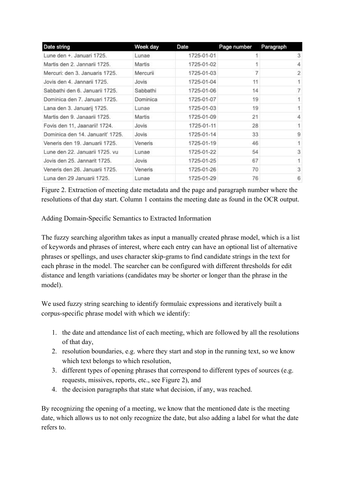| Date string                      | Week day | Date       | Page number | Paragraph      |
|----------------------------------|----------|------------|-------------|----------------|
| Lune den +, Januari 1725.        | Lunae    | 1725-01-01 |             | 3              |
| Martis den 2. Jannarii 1725.     | Martis   | 1725-01-02 |             | 4              |
| Mercuri: den 3. Januaris 1725.   | Mercurii | 1725-01-03 |             | $\overline{2}$ |
| Jovis den 4. Jannarii 1725.      | Jovis    | 1725-01-04 | 11          |                |
| Sabbathi den 6. Januarii 1725.   | Sabbathi | 1725-01-06 | 14          | 7              |
| Dominica den 7. Januari 1725.    | Dominica | 1725-01-07 | 19          |                |
| Lana den 3. Januarij 1725.       | Lunae    | 1725-01-03 | 19          |                |
| Martis den 9. Janaarii 1725.     | Martis   | 1725-01-09 | 21          | 4              |
| Fovis den 11, Jaanarii! 1724.    | Jovis    | 1725-01-11 | 28          |                |
| Dominica den 14. Januarit' 1725. | Jovis    | 1725-01-14 | 33          | 9              |
| Veneris den 19. Januarii 1725.   | Veneris  | 1725-01-19 | 46          | 1              |
| Lune den 22. Januarii 1725, vu   | Lunae    | 1725-01-22 | 54          | 3              |
| Jovis den 25. Jannarit 1725.     | Jovis    | 1725-01-25 | 67          | 1.             |
| Veneris den 26. Januarii 1725.   | Veneris  | 1725-01-26 | 70          | 3              |
| Luna den 29 Januarii 1725.       | Lunae    | 1725-01-29 | 76          | 6              |

Figure 2. Extraction of meeting date metadata and the page and paragraph number where the resolutions of that day start. Column 1 contains the meeting date as found in the OCR output.

Adding Domain-Specific Semantics to Extracted Information

The fuzzy searching algorithm takes as input a manually created phrase model, which is a list of keywords and phrases of interest, where each entry can have an optional list of alternative phrases or spellings, and uses character skip-grams to find candidate strings in the text for each phrase in the model. The searcher can be configured with different thresholds for edit distance and length variations (candidates may be shorter or longer than the phrase in the model).

We used fuzzy string searching to identify formulaic expressions and iteratively built a corpus-specific phrase model with which we identify:

- 1. the date and attendance list of each meeting, which are followed by all the resolutions of that day,
- 2. resolution boundaries, e.g. where they start and stop in the running text, so we know which text belongs to which resolution,
- 3. different types of opening phrases that correspond to different types of sources (e.g. requests, missives, reports, etc., see Figure 2), and
- 4. the decision paragraphs that state what decision, if any, was reached.

By recognizing the opening of a meeting, we know that the mentioned date is the meeting date, which allows us to not only recognize the date, but also adding a label for what the date refers to.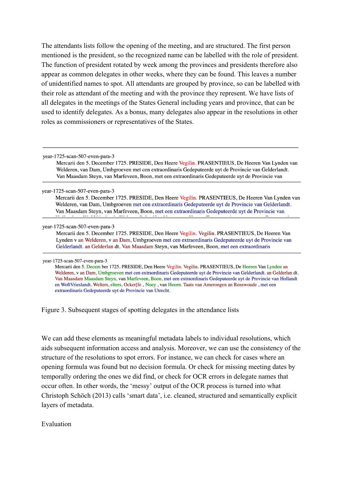The attendants lists follow the opening of the meeting, and are structured. The first person mentioned is the president, so the recognized name can be labelled with the role of president. The function of president rotated by week among the provinces and presidents therefore also appear as common delegates in other weeks, where they can be found. This leaves a number of unidentified names to spot. All attendants are grouped by province, so can be labelled with their role as attendant of the meeting and with the province they represent. We have lists of all delegates in the meetings of the States General including years and province, that can be used to identify delegates. As a bonus, many delegates also appear in the resolutions in other roles as commissioners or representatives of the States.

year-1725-scan-507-even-para-3

Mercarii den 5. December 1725. PRESIDE, Den Heere Vegilin. PRASENTIEUS, De Heeren Van Lynden van Welderen, van Dam, Umbgroeven met cen extraordinaris Gedeputeerde uyt de Provincie van Gelderlandt. Van Maasdam Steyn, van Marfeveen, Boon, met een extraordinaris Gedeputeerde uyt de Provincie van

year-1725-scan-507-even-para-3

Mercarii den 5. December 1725. PRESIDE, Den Heere Vegilin. PRASENTIEUS, De Heeren Van Lynden van Welderen, van Dam, Umbgroeven met cen extraordinaris Gedeputeerde uyt de Provincie van Gelderlandt. Van Maasdam Steyn, van Marfeveen, Boon, met een extraordinaris Gedeputeerde uyt de Provincie van

year-1725-scan-507-even-para-3

Mercarii den 5. December 1725. PRESIDE, Den Heere Vegilin. Vegilin. PRASENTIEUS, De Heeren Van Lynden v an Welderen, v an Dam, Umbgroeven met cen extraordinaris Gedeputeerde uyt de Provincie van Gelderlandt. an Gelderlan dt. Van Maasdam Steyn, van Marfeveen, Boon, met een extraordinaris

year-1725-scan-507-even-para-3

Mercarii den 5. Decem ber 1725. PRESIDE, Den Heere Vegilin. Vegilin. PRASENTIEUS, De Heeren Van Lynden an Welderen, v an Dam, Umbgroeven met cen extraordinaris Gedeputeerde uyt de Provincie van Gelderlandt. an Gelderlandt. Van Maasdam Maasdam Steyn, van Marfeveen, Boon, met een extraordinaris Gedeputeerde uyt de Provincie van Hollandt en WeftVrieslandt. Welters, elters, Ocker[fe, Noey, van Hoorn. Taats van Amerongen an Renswoude, met een extraordinaris Gedeputeerde uyt de Provincie van Utrecht.

Figure 3. Subsequent stages of spotting delegates in the attendance lists

We can add these elements as meaningful metadata labels to individual resolutions, which aids subsequent information access and analysis. Moreover, we can use the consistency of the structure of the resolutions to spot errors. For instance, we can check for cases where an opening formula was found but no decision formula. Or check for missing meeting dates by temporally ordering the ones we did find, or check for OCR errors in delegate names that occur often. In other words, the 'messy' output of the OCR process is turned into what Christoph Schöch (2013) calls 'smart data', i.e. cleaned, structured and semantically explicit layers of metadata.

Evaluation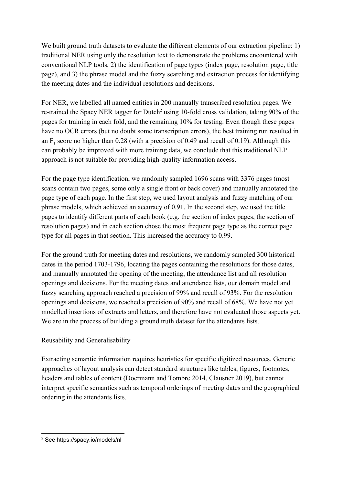We built ground truth datasets to evaluate the different elements of our extraction pipeline: 1) traditional NER using only the resolution text to demonstrate the problems encountered with conventional NLP tools, 2) the identification of page types (index page, resolution page, title page), and 3) the phrase model and the fuzzy searching and extraction process for identifying the meeting dates and the individual resolutions and decisions.

For NER, we labelled all named entities in 200 manually transcribed resolution pages. We re-trained the Spacy NER tagger for Dutch<sup>2</sup> using 10-fold cross validation, taking  $90\%$  of the pages for training in each fold, and the remaining 10% for testing. Even though these pages have no OCR errors (but no doubt some transcription errors), the best training run resulted in an  $F_1$  score no higher than 0.28 (with a precision of 0.49 and recall of 0.19). Although this can probably be improved with more training data, we conclude that this traditional NLP approach is not suitable for providing high-quality information access.

For the page type identification, we randomly sampled 1696 scans with 3376 pages (most scans contain two pages, some only a single front or back cover) and manually annotated the page type of each page. In the first step, we used layout analysis and fuzzy matching of our phrase models, which achieved an accuracy of 0.91. In the second step, we used the title pages to identify different parts of each book (e.g. the section of index pages, the section of resolution pages) and in each section chose the most frequent page type as the correct page type for all pages in that section. This increased the accuracy to 0.99.

For the ground truth for meeting dates and resolutions, we randomly sampled 300 historical dates in the period 1703-1796, locating the pages containing the resolutions for those dates, and manually annotated the opening of the meeting, the attendance list and all resolution openings and decisions. For the meeting dates and attendance lists, our domain model and fuzzy searching approach reached a precision of 99% and recall of 93%. For the resolution openings and decisions, we reached a precision of 90% and recall of 68%. We have not yet modelled insertions of extracts and letters, and therefore have not evaluated those aspects yet. We are in the process of building a ground truth dataset for the attendants lists.

# Reusability and Generalisability

Extracting semantic information requires heuristics for specific digitized resources. Generic approaches of layout analysis can detect standard structures like tables, figures, footnotes, headers and tables of content (Doermann and Tombre 2014, Clausner 2019), but cannot interpret specific semantics such as temporal orderings of meeting dates and the geographical ordering in the attendants lists.

<sup>2</sup> See https://spacy.io/models/nl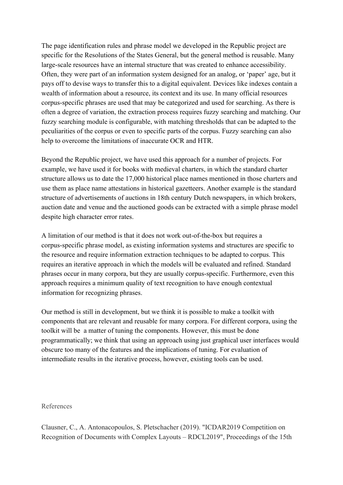The page identification rules and phrase model we developed in the Republic project are specific for the Resolutions of the States General, but the general method is reusable. Many large-scale resources have an internal structure that was created to enhance accessibility. Often, they were part of an information system designed for an analog, or 'paper' age, but it pays off to devise ways to transfer this to a digital equivalent. Devices like indexes contain a wealth of information about a resource, its context and its use. In many official resources corpus-specific phrases are used that may be categorized and used for searching. As there is often a degree of variation, the extraction process requires fuzzy searching and matching. Our fuzzy searching module is configurable, with matching thresholds that can be adapted to the peculiarities of the corpus or even to specific parts of the corpus. Fuzzy searching can also help to overcome the limitations of inaccurate OCR and HTR.

Beyond the Republic project, we have used this approach for a number of projects. For example, we have used it for books with medieval charters, in which the standard charter structure allows us to date the 17,000 historical place names mentioned in those charters and use them as place name attestations in historical gazetteers. Another example is the standard structure of advertisements of auctions in 18th century Dutch newspapers, in which brokers, auction date and venue and the auctioned goods can be extracted with a simple phrase model despite high character error rates.

A limitation of our method is that it does not work out-of-the-box but requires a corpus-specific phrase model, as existing information systems and structures are specific to the resource and require information extraction techniques to be adapted to corpus. This requires an iterative approach in which the models will be evaluated and refined. Standard phrases occur in many corpora, but they are usually corpus-specific. Furthermore, even this approach requires a minimum quality of text recognition to have enough contextual information for recognizing phrases.

Our method is still in development, but we think it is possible to make a toolkit with components that are relevant and reusable for many corpora. For different corpora, using the toolkit will be a matter of tuning the components. However, this must be done programmatically; we think that using an approach using just graphical user interfaces would obscure too many of the features and the implications of tuning. For evaluation of intermediate results in the iterative process, however, existing tools can be used.

## References

Clausner, C., A. Antonacopoulos, S. Pletschacher (2019). "ICDAR2019 Competition on Recognition of Documents with Complex Layouts – RDCL2019", Proceedings of the 15th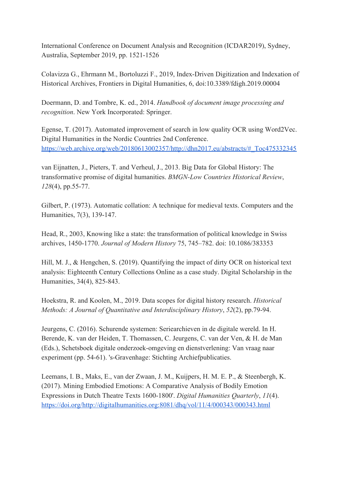International Conference on Document Analysis and Recognition (ICDAR2019), Sydney, Australia, September 2019, pp. 1521-1526

Colavizza G., Ehrmann M., Bortoluzzi F., 2019, Index-Driven Digitization and Indexation of Historical Archives, Frontiers in Digital Humanities, 6, doi:10.3389/fdigh.2019.00004

Doermann, D. and Tombre, K. ed., 2014. *Handbook of document image processing and recognition*. New York Incorporated: Springer.

Egense, T. (2017). Automated improvement of search in low quality OCR using Word2Vec. Digital Humanities in the Nordic Countries 2nd Conference. [https://web.archive.org/web/20180613002357/http://dhn2017.eu/abstracts/#\\_Toc475332345](https://web.archive.org/web/20180613002357/http://dhn2017.eu/abstracts/#_Toc475332345)

van Eijnatten, J., Pieters, T. and Verheul, J., 2013. Big Data for Global History: The transformative promise of digital humanities. *BMGN-Low Countries Historical Review*, *128*(4), pp.55-77.

Gilbert, P. (1973). Automatic collation: A technique for medieval texts. Computers and the Humanities, 7(3), 139-147.

Head, R., 2003, Knowing like a state: the transformation of political knowledge in Swiss archives, 1450-1770. *Journal of Modern History* 75, 745–782. doi: 10.1086/383353

Hill, M. J., & Hengchen, S. (2019). Quantifying the impact of dirty OCR on historical text analysis: Eighteenth Century Collections Online as a case study. Digital Scholarship in the Humanities, 34(4), 825-843.

Hoekstra, R. and Koolen, M., 2019. Data scopes for digital history research. *Historical Methods: A Journal of Quantitative and Interdisciplinary History*, *52*(2), pp.79-94.

Jeurgens, C. (2016). Schurende systemen: Seriearchieven in de digitale wereld. In H. Berende, K. van der Heiden, T. Thomassen, C. Jeurgens, C. van der Ven, & H. de Man (Eds.), Schetsboek digitale onderzoek-omgeving en dienstverlening: Van vraag naar experiment (pp. 54-61). 's-Gravenhage: Stichting Archiefpublicaties.

Leemans, I. B., Maks, E., van der Zwaan, J. M., Kuijpers, H. M. E. P., & Steenbergh, K. (2017). Mining Embodied Emotions: A Comparative Analysis of Bodily Emotion Expressions in Dutch Theatre Texts 1600-1800'. *Digital Humanities Quarterly*, *11*(4). <https://doi.org/http://digitalhumanities.org:8081/dhq/vol/11/4/000343/000343.html>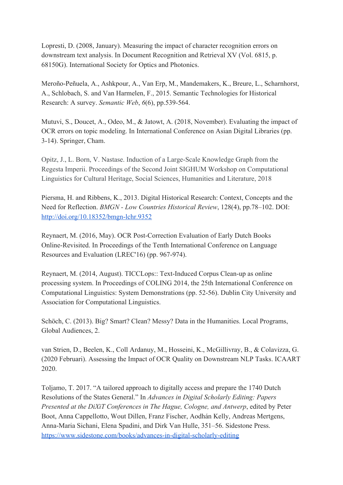Lopresti, D. (2008, January). Measuring the impact of character recognition errors on downstream text analysis. In Document Recognition and Retrieval XV (Vol. 6815, p. 68150G). International Society for Optics and Photonics.

Meroño-Peñuela, A., Ashkpour, A., Van Erp, M., Mandemakers, K., Breure, L., Scharnhorst, A., Schlobach, S. and Van Harmelen, F., 2015. Semantic Technologies for Historical Research: A survey. *Semantic Web*, *6*(6), pp.539-564.

Mutuvi, S., Doucet, A., Odeo, M., & Jatowt, A. (2018, November). Evaluating the impact of OCR errors on topic modeling. In International Conference on Asian Digital Libraries (pp. 3-14). Springer, Cham.

Opitz, J., L. Born, V. Nastase. Induction of a Large-Scale Knowledge Graph from the Regesta Imperii. Proceedings of the Second Joint SIGHUM Workshop on Computational Linguistics for Cultural Heritage, Social Sciences, Humanities and Literature, 2018

Piersma, H. and Ribbens, K., 2013. Digital Historical Research: Context, Concepts and the Need for Reflection. *BMGN - Low Countries Historical Review*, 128(4), pp.78–102. DOI: <http://doi.org/10.18352/bmgn-lchr.9352>

Reynaert, M. (2016, May). OCR Post-Correction Evaluation of Early Dutch Books Online-Revisited. In Proceedings of the Tenth International Conference on Language Resources and Evaluation (LREC'16) (pp. 967-974).

Reynaert, M. (2014, August). TICCLops:: Text-Induced Corpus Clean-up as online processing system. In Proceedings of COLING 2014, the 25th International Conference on Computational Linguistics: System Demonstrations (pp. 52-56). Dublin City University and Association for Computational Linguistics.

Schöch, C. (2013). Big? Smart? Clean? Messy? Data in the Humanities. Local Programs, Global Audiences, 2.

van Strien, D., Beelen, K., Coll Ardanuy, M., Hosseini, K., McGillivray, B., & Colavizza, G. (2020 Februari). Assessing the Impact of OCR Quality on Downstream NLP Tasks. ICAART 2020.

Toljamo, T. 2017. "A tailored approach to digitally access and prepare the 1740 Dutch Resolutions of the States General." In *Advances in Digital Scholarly Editing: Papers Presented at the DiXiT Conferences in The Hague, Cologne, and Antwerp*, edited by Peter Boot, Anna Cappellotto, Wout Dillen, Franz Fischer, Aodhán Kelly, Andreas Mertgens, Anna-Maria Sichani, Elena Spadini, and Dirk Van Hulle, 351–56. Sidestone Press. <https://www.sidestone.com/books/advances-in-digital-scholarly-editing>